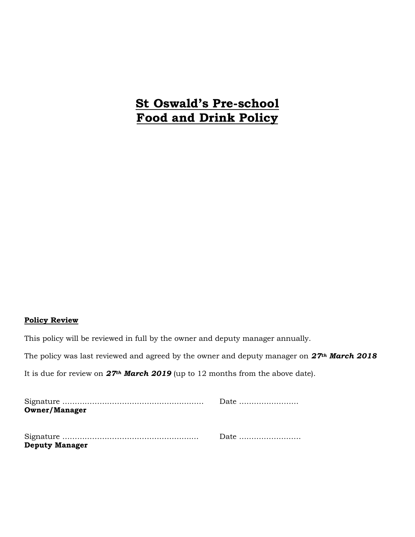# **St Oswald's Pre-school Food and Drink Policy**

## **Policy Review**

This policy will be reviewed in full by the owner and deputy manager annually.

The policy was last reviewed and agreed by the owner and deputy manager on *27th March 2018*

It is due for review on *27th March 2019* (up to 12 months from the above date).

|                       | Date |
|-----------------------|------|
| <b>Owner/Manager</b>  |      |
|                       |      |
|                       |      |
|                       |      |
| <b>Deputy Manager</b> |      |